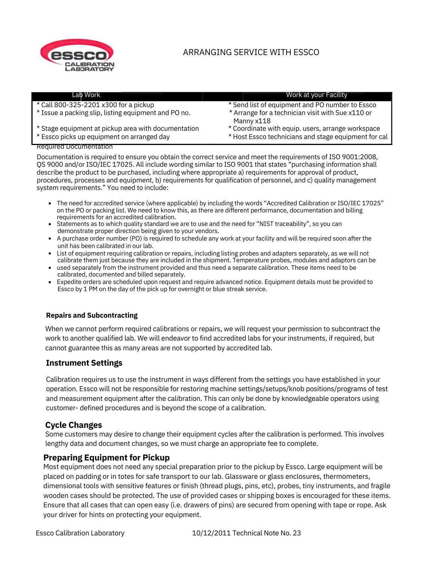

# ARRANGING SERVICE WITH ESSCO

| Lab Work                                             | Work at your Facility                                           |
|------------------------------------------------------|-----------------------------------------------------------------|
| * Call 800-325-2201 x300 for a pickup                | * Send list of equipment and PO number to Essco                 |
| * Issue a packing slip, listing equipment and PO no. | * Arrange for a technician visit with Sue x110 or<br>Manny x118 |
| * Stage equipment at pickup area with documentation  | * Coordinate with equip. users, arrange workspace               |
| * Essco picks up equipment on arranged day           | * Host Essco technicians and stage equipment for cal            |

#### Required Documentation

Documentation is required to ensure you obtain the correct service and meet the requirements of ISO 9001:2008, QS 9000 and/or ISO/IEC 17025. All include wording similar to ISO 9001 that states "purchasing information shall describe the product to be purchased, including where appropriate a) requirements for approval of product, procedures, processes and equipment, b) requirements for qualification of personnel, and c) quality management system requirements." You need to include:

- The need for accredited service (where applicable) by including the words "Accredited Calibration or ISO/IEC 17025" on the PO or packing list. We need to know this, as there are different performance, documentation and billing requirements for an accredited calibration.
- Statements as to which quality standard we are to use and the need for "NIST traceability", so you can demonstrate proper direction being given to your vendors.
- A purchase order number (PO) is required to schedule any work at your facility and will be required soon after the unit has been calibrated in our lab.
- List of equipment requiring calibration or repairs, including listing probes and adapters separately, as we will not calibrate them just because they are included in the shipment. Temperature probes, modules and adaptors can be
- used separately from the instrument provided and thus need a separate calibration. These items need to be calibrated, documented and billed separately.
- Expedite orders are scheduled upon request and require advanced notice. Equipment details must be provided to Essco by 1 PM on the day of the pick up for overnight or blue streak service.

### **Repairs and Subcontracting**

When we cannot perform required calibrations or repairs, we will request your permission to subcontract the work to another qualified lab. We will endeavor to find accredited labs for your instruments, if required, but cannot guarantee this as many areas are not supported by accredited lab.

### **Instrument Settings**

Calibration requires us to use the instrument in ways different from the settings you have established in your operation. Essco will not be responsible for restoring machine settings/setups/knob positions/programs of test and measurement equipment after the calibration. This can only be done by knowledgeable operators using customer- defined procedures and is beyond the scope of a calibration.

## **Cycle Changes**

Some customers may desire to change their equipment cycles after the calibration is performed. This involves lengthy data and document changes, so we must charge an appropriate fee to complete.

### **Preparing Equipment for Pickup**

Most equipment does not need any special preparation prior to the pickup by Essco. Large equipment will be placed on padding or in totes for safe transport to our lab. Glassware or glass enclosures, thermometers, dimensional tools with sensitive features or finish (thread plugs, pins, etc), probes, tiny instruments, and fragile wooden cases should be protected. The use of provided cases or shipping boxes is encouraged for these items. Ensure that all cases that can open easy (i.e. drawers of pins) are secured from opening with tape or rope. Ask your driver for hints on protecting your equipment.